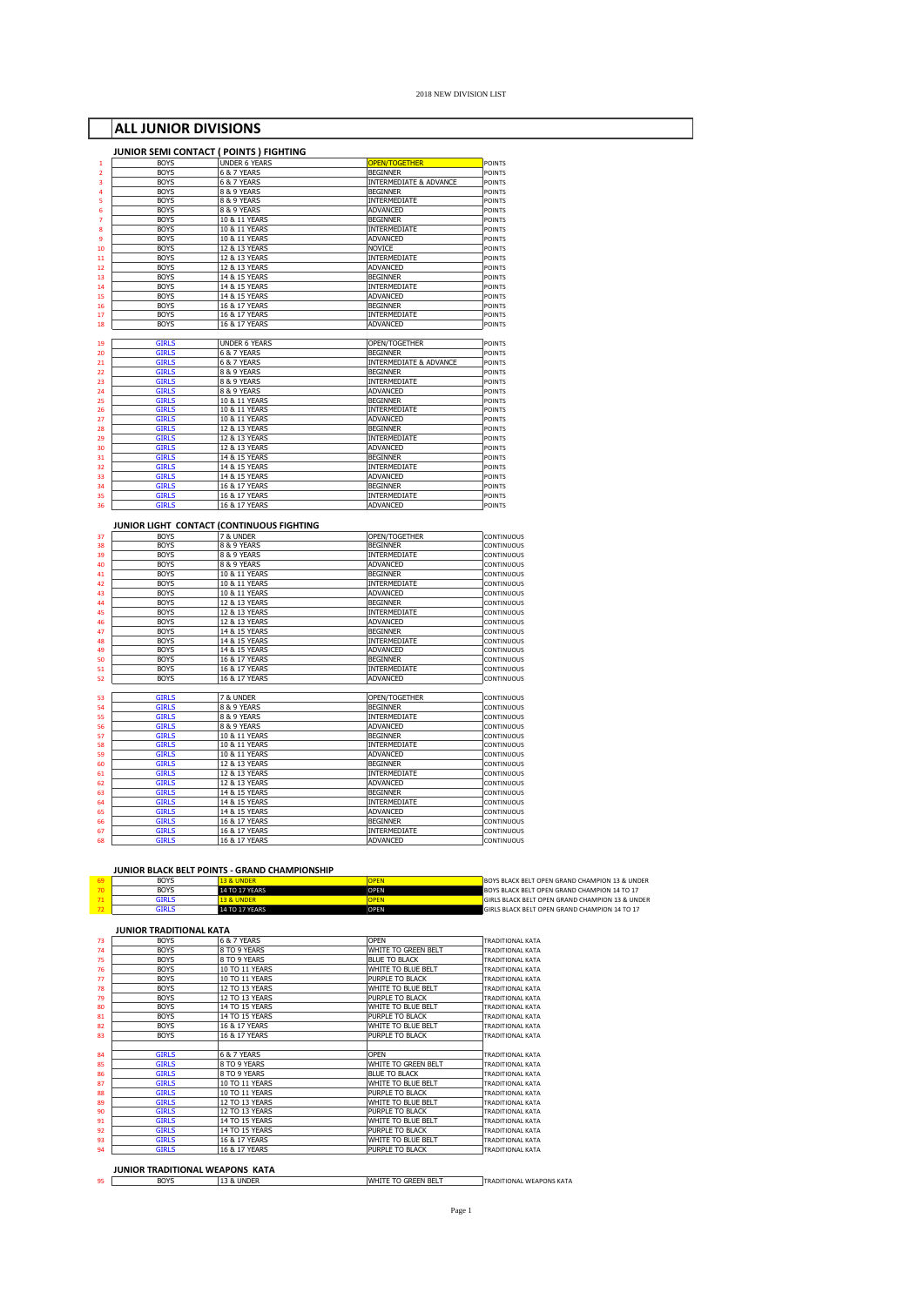# **ALL JUNIOR DIVISIONS**

| <b>BOYS</b>                  | JUNIOR SEMI CONTACT ( POINTS ) FIGHTING<br><b>UNDER 6 YEARS</b> | <b>OPEN/TOGETHER</b>              | POINTS                                                                                                                                                                                           |
|------------------------------|-----------------------------------------------------------------|-----------------------------------|--------------------------------------------------------------------------------------------------------------------------------------------------------------------------------------------------|
| <b>BOYS</b>                  | 6 & 7 YEARS                                                     | <b>BEGINNER</b>                   | <b>POINTS</b>                                                                                                                                                                                    |
| <b>BOYS</b>                  | 6 & 7 YEARS                                                     | <b>INTERMEDIATE &amp; ADVANCE</b> | <b>POINTS</b>                                                                                                                                                                                    |
| <b>BOYS</b>                  | 8 & 9 YEARS                                                     | <b>BEGINNER</b>                   | POINTS                                                                                                                                                                                           |
| <b>BOYS</b>                  | 8 & 9 YEARS                                                     | INTERMEDIATE                      | POINTS                                                                                                                                                                                           |
| <b>BOYS</b>                  | 8 & 9 YEARS                                                     | ADVANCED                          | <b>POINTS</b>                                                                                                                                                                                    |
| <b>BOYS</b>                  | 10 & 11 YEARS                                                   | <b>BEGINNER</b>                   | <b>POINTS</b>                                                                                                                                                                                    |
| <b>BOYS</b>                  | 10 & 11 YEARS                                                   | INTERMEDIATE                      | <b>POINTS</b>                                                                                                                                                                                    |
| <b>BOYS</b>                  | 10 & 11 YEARS                                                   | <b>ADVANCED</b>                   | <b>POINTS</b>                                                                                                                                                                                    |
| <b>BOYS</b>                  | 12 & 13 YEARS                                                   | NOVICE                            | <b>POINTS</b>                                                                                                                                                                                    |
| <b>BOYS</b>                  | 12 & 13 YEARS                                                   | INTERMEDIATE                      | <b>POINTS</b>                                                                                                                                                                                    |
| <b>BOYS</b>                  | 12 & 13 YEARS                                                   | ADVANCED                          | <b>POINTS</b>                                                                                                                                                                                    |
| <b>BOYS</b>                  | 14 & 15 YEARS                                                   | <b>BEGINNER</b>                   | <b>POINTS</b>                                                                                                                                                                                    |
| <b>BOYS</b>                  | 14 & 15 YEARS                                                   | INTERMEDIATE                      | POINTS                                                                                                                                                                                           |
| <b>BOYS</b>                  | 14 & 15 YEARS                                                   | ADVANCED                          | <b>POINTS</b>                                                                                                                                                                                    |
| <b>BOYS</b>                  | 16 & 17 YEARS                                                   | <b>BEGINNER</b>                   | <b>POINTS</b>                                                                                                                                                                                    |
| <b>BOYS</b>                  | 16 & 17 YEARS                                                   | INTERMEDIATE                      | <b>POINTS</b>                                                                                                                                                                                    |
| <b>BOYS</b>                  | 16 & 17 YEARS                                                   | ADVANCED                          | POINTS                                                                                                                                                                                           |
|                              |                                                                 |                                   |                                                                                                                                                                                                  |
| <b>GIRLS</b>                 | <b>UNDER 6 YEARS</b>                                            | OPEN/TOGETHER                     | <b>POINTS</b>                                                                                                                                                                                    |
| <b>GIRLS</b>                 | 6 & 7 YEARS                                                     | <b>BEGINNER</b>                   | <b>POINTS</b>                                                                                                                                                                                    |
| <b>GIRLS</b>                 | 6 & 7 YEARS                                                     | INTERMEDIATE & ADVANCE            | POINTS                                                                                                                                                                                           |
| <b>GIRLS</b>                 | 8 & 9 YEARS                                                     | <b>BEGINNER</b>                   | <b>POINTS</b>                                                                                                                                                                                    |
| <b>GIRLS</b>                 | 8 & 9 YEARS                                                     | INTERMEDIATE                      | POINTS                                                                                                                                                                                           |
| <b>GIRLS</b>                 | 8 & 9 YEARS                                                     | <b>ADVANCED</b>                   | POINTS                                                                                                                                                                                           |
| <b>GIRLS</b>                 | 10 & 11 YEARS                                                   | <b>BEGINNER</b>                   | POINTS                                                                                                                                                                                           |
| <b>GIRLS</b>                 | 10 & 11 YEARS                                                   | INTERMEDIATE                      | POINTS                                                                                                                                                                                           |
| <b>GIRLS</b>                 | 10 & 11 YEARS                                                   | ADVANCED                          | <b>POINTS</b>                                                                                                                                                                                    |
| <b>GIRLS</b>                 | 12 & 13 YEARS                                                   | <b>BEGINNER</b>                   | <b>POINTS</b>                                                                                                                                                                                    |
| <b>GIRLS</b>                 | 12 & 13 YEARS                                                   | INTERMEDIATE                      | POINTS                                                                                                                                                                                           |
| <b>GIRLS</b>                 | 12 & 13 YEARS                                                   | ADVANCED                          | <b>POINTS</b>                                                                                                                                                                                    |
| <b>GIRLS</b>                 | 14 & 15 YEARS                                                   | <b>BEGINNER</b>                   | <b>POINTS</b><br><b>POINTS</b>                                                                                                                                                                   |
| <b>GIRLS</b>                 | 14 & 15 YEARS                                                   | INTERMEDIATE                      |                                                                                                                                                                                                  |
| <b>GIRLS</b><br><b>GIRLS</b> | 14 & 15 YEARS                                                   | ADVANCED                          | POINTS                                                                                                                                                                                           |
|                              | 16 & 17 YEARS                                                   | <b>BEGINNER</b>                   | POINTS                                                                                                                                                                                           |
| <b>GIRLS</b><br><b>GIRLS</b> | 16 & 17 YEARS<br>16 & 17 YEARS                                  | INTERMEDIATE<br>ADVANCED          | POINTS<br><b>POINTS</b>                                                                                                                                                                          |
|                              | JUNIOR LIGHT CONTACT (CONTINUOUS FIGHTING                       |                                   |                                                                                                                                                                                                  |
| <b>BOYS</b>                  | 7 & UNDER                                                       | OPEN/TOGETHER                     | CONTINUOUS                                                                                                                                                                                       |
| <b>BOYS</b>                  | 8 & 9 YEARS                                                     | <b>BEGINNER</b>                   | CONTINUOUS                                                                                                                                                                                       |
| <b>BOYS</b>                  | 8 & 9 YEARS                                                     | INTERMEDIATE                      | CONTINUOUS                                                                                                                                                                                       |
| <b>BOYS</b>                  | 8 & 9 YEARS                                                     | ADVANCED                          | CONTINUOUS                                                                                                                                                                                       |
| <b>BOYS</b>                  | 10 & 11 YEARS                                                   | <b>BEGINNER</b>                   | CONTINUOUS                                                                                                                                                                                       |
| <b>BOYS</b>                  | 10 & 11 YEARS                                                   | INTERMEDIATE                      | CONTINUOUS                                                                                                                                                                                       |
| <b>BOYS</b>                  | 10 & 11 YEARS                                                   | <b>ADVANCED</b>                   | CONTINUOUS                                                                                                                                                                                       |
| <b>BOYS</b>                  | 12 & 13 YEARS                                                   | <b>BEGINNER</b>                   | CONTINUOUS                                                                                                                                                                                       |
| <b>BOYS</b>                  | 12 & 13 YEARS                                                   | INTERMEDIATE                      | CONTINUOUS                                                                                                                                                                                       |
| <b>BOYS</b>                  | 12 & 13 YEARS                                                   | ADVANCED                          | CONTINUOUS                                                                                                                                                                                       |
| <b>BOYS</b>                  | 14 & 15 YEARS                                                   | <b>BEGINNER</b>                   | CONTINUOUS                                                                                                                                                                                       |
| <b>BOYS</b>                  | 14 & 15 YEARS                                                   | INTERMEDIATE                      | CONTINUOUS                                                                                                                                                                                       |
| <b>BOYS</b>                  | 14 & 15 YEARS                                                   | ADVANCED                          | CONTINUOUS                                                                                                                                                                                       |
| <b>BOYS</b>                  | 16 & 17 YEARS                                                   | <b>BEGINNER</b>                   | CONTINUOUS                                                                                                                                                                                       |
| <b>BOYS</b><br><b>BOYS</b>   | 16 & 17 YEARS                                                   | INTERMEDIATE                      | CONTINUOUS                                                                                                                                                                                       |
|                              | 16 & 17 YEARS                                                   | ADVANCED                          | CONTINUOUS                                                                                                                                                                                       |
|                              |                                                                 |                                   |                                                                                                                                                                                                  |
|                              |                                                                 |                                   |                                                                                                                                                                                                  |
| <b>GIRLS</b>                 | 7 & UNDER                                                       | OPEN/TOGETHER                     |                                                                                                                                                                                                  |
| <b>GIRLS</b>                 | 8 & 9 YEARS                                                     | <b>BEGINNER</b>                   |                                                                                                                                                                                                  |
| <b>GIRLS</b>                 | 8 & 9 YEARS                                                     | INTERMEDIATE                      |                                                                                                                                                                                                  |
| <b>GIRLS</b>                 | 8 & 9 YEARS                                                     | ADVANCED                          |                                                                                                                                                                                                  |
| <b>GIRLS</b>                 | 10 & 11 YEARS                                                   | <b>BEGINNER</b>                   |                                                                                                                                                                                                  |
| <b>GIRLS</b>                 | 10 & 11 YEARS                                                   | INTERMEDIATE                      |                                                                                                                                                                                                  |
| <b>GIRLS</b>                 | 10 & 11 YEARS                                                   | ADVANCED                          |                                                                                                                                                                                                  |
| <b>GIRLS</b>                 | 12 & 13 YEARS                                                   | <b>BEGINNER</b>                   |                                                                                                                                                                                                  |
| <b>GIRLS</b>                 | 12 & 13 YEARS                                                   | INTERMEDIATE                      |                                                                                                                                                                                                  |
| <b>GIRLS</b>                 | 12 & 13 YEARS                                                   | <b>ADVANCED</b>                   |                                                                                                                                                                                                  |
| <b>GIRLS</b>                 | 14 & 15 YEARS                                                   | <b>BEGINNER</b>                   |                                                                                                                                                                                                  |
| <b>GIRLS</b>                 | 14 & 15 YEARS                                                   | INTERMEDIATE                      |                                                                                                                                                                                                  |
| <b>GIRLS</b>                 | 14 & 15 YEARS                                                   | ADVANCED                          |                                                                                                                                                                                                  |
| <b>GIRLS</b>                 | 16 & 17 YEARS                                                   | <b>BEGINNER</b>                   | CONTINUOUS<br>CONTINUOUS<br>CONTINUOUS<br>CONTINUOUS<br>CONTINUOUS<br>CONTINUOUS<br>CONTINUOUS<br>CONTINUOUS<br>CONTINUOUS<br>CONTINUOUS<br>CONTINUOUS<br>CONTINUOUS<br>CONTINUOUS<br>CONTINUOUS |
| <b>GIRLS</b><br><b>GIRLS</b> | 16 & 17 YEARS<br>16 & 17 YEARS                                  | INTERMEDIATE<br>ADVANCED          | CONTINUOUS<br>CONTINUOUS                                                                                                                                                                         |

## **JUNIOR BLACK BELT POINTS - GRAND CHAMPIONSHIP**

| <b>BOYS</b> | 13 & UNDER            | DPEN | <b>BOYS BLACK BELT OPEN GRAND CHAMPION 13 &amp; UNDER</b>  |
|-------------|-----------------------|------|------------------------------------------------------------|
| <b>BOYS</b> | <b>14 TO 17 YEARS</b> | OPFN | BOYS BLACK BELT OPEN GRAND CHAMPION 14 TO 17               |
| SIRLS       | <b>13 &amp; UNDER</b> |      | <b>GIRLS BLACK BELT OPEN GRAND CHAMPION 13 &amp; UNDER</b> |
| FIRLS       | <b>14 TO 17 YEARS</b> | OPFN | GIRLS BLACK BELT OPEN GRAND CHAMPION 14 TO 17              |

| <b>BOYS</b>  | 6 & 7 YEARS           | OPEN                 | <b>TRADITIONAL KATA</b> |
|--------------|-----------------------|----------------------|-------------------------|
| <b>BOYS</b>  | 8 TO 9 YEARS          | WHITE TO GREEN BELT  | <b>TRADITIONAL KATA</b> |
| <b>BOYS</b>  | 8 TO 9 YEARS          | BLUE TO BLACK        | <b>TRADITIONAL KATA</b> |
| <b>BOYS</b>  | 10 TO 11 YEARS        | WHITE TO BLUE BELT   | <b>TRADITIONAL KATA</b> |
| <b>BOYS</b>  | 10 TO 11 YEARS        | PURPLE TO BLACK      | <b>TRADITIONAL KATA</b> |
| <b>BOYS</b>  | 12 TO 13 YEARS        | WHITE TO BLUE BELT   | <b>TRADITIONAL KATA</b> |
| <b>BOYS</b>  | 12 TO 13 YEARS        | PURPLE TO BLACK      | <b>TRADITIONAL KATA</b> |
| <b>BOYS</b>  | <b>14 TO 15 YEARS</b> | WHITE TO BLUE BELT   | <b>TRADITIONAL KATA</b> |
| <b>BOYS</b>  | <b>14 TO 15 YEARS</b> | PURPLE TO BLACK      | <b>TRADITIONAL KATA</b> |
| <b>BOYS</b>  | 16 & 17 YEARS         | WHITE TO BLUE BELT   | <b>TRADITIONAL KATA</b> |
| <b>BOYS</b>  | 16 & 17 YEARS         | PURPLE TO BLACK      | <b>TRADITIONAL KATA</b> |
| <b>GIRLS</b> | 6 & 7 YEARS           | OPFN                 | <b>TRADITIONAL KATA</b> |
| <b>GTRLS</b> | 8 TO 9 YEARS          | WHITE TO GREEN BELT  | <b>TRADITIONAL KATA</b> |
| <b>GIRLS</b> | 8 TO 9 YEARS          | <b>BLUE TO BLACK</b> | <b>TRADITIONAL KATA</b> |
| <b>GTRLS</b> | 10 TO 11 YEARS        | WHITE TO BLUE BELT   | <b>TRADITIONAL KATA</b> |
| <b>GTRLS</b> | 10 TO 11 YEARS        | PURPLE TO BLACK      | <b>TRADITIONAL KATA</b> |
| <b>GTRLS</b> | 12 TO 13 YEARS        | WHITE TO BLUE BELT   | <b>TRADITIONAL KATA</b> |
| <b>GIRLS</b> | 12 TO 13 YEARS        | PURPLE TO BLACK      | <b>TRADITIONAL KATA</b> |
| <b>GTRLS</b> | <b>14 TO 15 YEARS</b> | WHITE TO BLUE BELT   | <b>TRADITIONAL KATA</b> |
| <b>GTRLS</b> | 14 TO 15 YEARS        | PURPLE TO BLACK      | <b>TRADITIONAL KATA</b> |
| <b>GIRLS</b> | 16 & 17 YEARS         | WHITE TO BLUE BELT   | <b>TRADITIONAL KATA</b> |
| <b>GTRLS</b> | 16 & 17 YEARS         | PURPLE TO BLACK      | <b>TRADITIONAL KATA</b> |

**JUNIOR TRADITIONAL WEAPONS KATA**<br>95 **BOYS 13 & UNDER** WHITE TO GREEN BELT TRADITIONAL WEAPONS KATA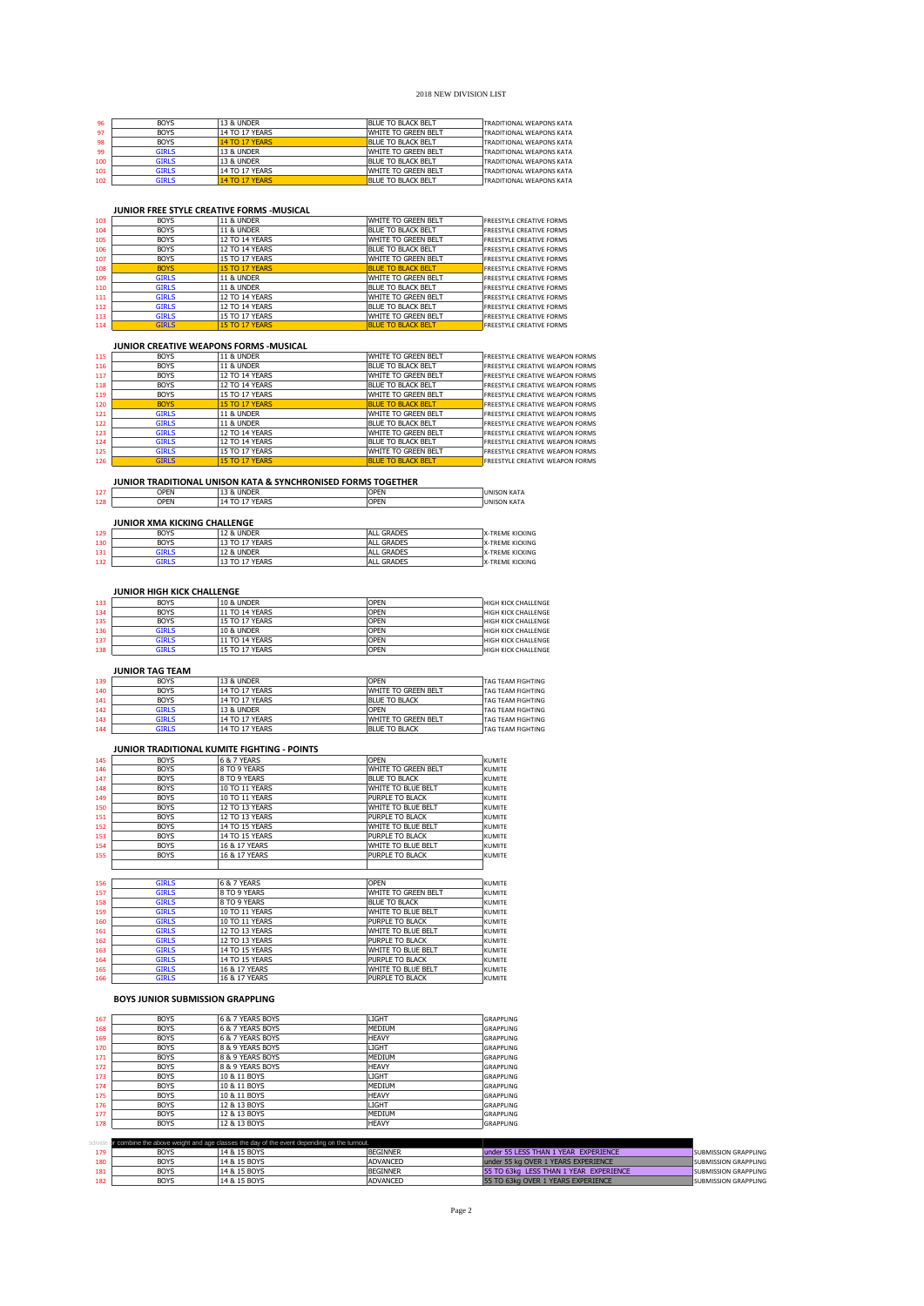| 96  | <b>BOYS</b>  | 13 & UNDER            | <b>BLUE TO BLACK BELT</b> | <b>TRADITIONAL WEAPONS KATA</b> |
|-----|--------------|-----------------------|---------------------------|---------------------------------|
| 97  | <b>BOYS</b>  | 14 TO 17 YEARS        | WHITE TO GREEN BELT       | <b>TRADITIONAL WEAPONS KATA</b> |
| 98  | <b>BOYS</b>  | <b>14 TO 17 YEARS</b> | <b>BLUE TO BLACK BELT</b> | <b>TRADITIONAL WEAPONS KATA</b> |
| 99  | <b>GIRLS</b> | 13 & UNDER            | WHITE TO GREEN BELT       | <b>TRADITIONAL WEAPONS KATA</b> |
| 100 | <b>GIRLS</b> | 13 & UNDER            | BLUE TO BLACK BELT        | <b>TRADITIONAL WEAPONS KATA</b> |
| 101 | <b>GIRLS</b> | 14 TO 17 YEARS        | WHITE TO GREEN BELT       | <b>TRADITIONAL WEAPONS KATA</b> |
| 102 | GIRLS.       | <b>14 TO 17 YEARS</b> | BLUE TO BLACK BELT        | <b>TRADITIONAL WEAPONS KATA</b> |
|     |              |                       |                           |                                 |

# **JUNIOR FREE STYLE CREATIVE FORMS -MUSICAL**

| 103 | <b>BOYS</b>  | <b>11 &amp; UNDER</b> | WHITE TO GREEN BELT       | <b>FREESTYLE CREATIVE FORMS</b> |
|-----|--------------|-----------------------|---------------------------|---------------------------------|
| 104 | <b>BOYS</b>  | <b>11 &amp; UNDER</b> | <b>BLUE TO BLACK BELT</b> | <b>FREESTYLE CREATIVE FORMS</b> |
| 105 | <b>BOYS</b>  | 12 TO 14 YEARS        | WHITE TO GREEN BELT       | <b>FREESTYLE CREATIVE FORMS</b> |
| 106 | <b>BOYS</b>  | 12 TO 14 YEARS        | BLUE TO BLACK BELT        | <b>FREESTYLE CREATIVE FORMS</b> |
| 107 | <b>BOYS</b>  | 15 TO 17 YEARS        | WHITE TO GREEN BELT       | <b>FREESTYLE CREATIVE FORMS</b> |
| 108 | <b>BOYS</b>  | <b>15 TO 17 YEARS</b> | <b>BLUE TO BLACK BELT</b> | <b>FREESTYLE CREATIVE FORMS</b> |
| 109 | <b>GIRLS</b> | <b>11 &amp; UNDER</b> | WHITE TO GREEN BELT       | <b>FREESTYLE CREATIVE FORMS</b> |
| 110 | <b>GIRLS</b> | <b>11 &amp; UNDER</b> | <b>BLUE TO BLACK BELT</b> | <b>FREESTYLE CREATIVE FORMS</b> |
| 111 | <b>GIRLS</b> | 12 TO 14 YEARS        | WHITE TO GREEN BELT       | <b>FREESTYLE CREATIVE FORMS</b> |
| 112 | <b>GIRLS</b> | 12 TO 14 YEARS        | <b>BLUE TO BLACK BELT</b> | <b>FREESTYLE CREATIVE FORMS</b> |
| 113 | <b>GIRLS</b> | 15 TO 17 YEARS        | WHITE TO GREEN BELT       | <b>FREESTYLE CREATIVE FORMS</b> |
| 114 | <b>GIRLS</b> | <b>15 TO 17 YEARS</b> | <b>BLUE TO BLACK BELT</b> | <b>FREESTYLE CREATIVE FORMS</b> |

## **JUNIOR CREATIVE WEAPONS FORMS -MUSICAL**

| 115 | <b>BOYS</b>  | <b>11 &amp; UNDER</b> | WHITE TO GREEN BELT       | <b>FREESTYLE CREATIVE WEAPON FORMS</b> |
|-----|--------------|-----------------------|---------------------------|----------------------------------------|
| 116 | <b>BOYS</b>  | <b>11 &amp; UNDER</b> | <b>BLUE TO BLACK BELT</b> | <b>FREESTYLE CREATIVE WEAPON FORMS</b> |
| 117 | <b>BOYS</b>  | 12 TO 14 YEARS        | WHITE TO GREEN BELT       | <b>FREESTYLE CREATIVE WEAPON FORMS</b> |
| 118 | <b>BOYS</b>  | 12 TO 14 YEARS        | <b>BLUE TO BLACK BELT</b> | <b>FREESTYLE CREATIVE WEAPON FORMS</b> |
| 119 | <b>BOYS</b>  | 15 TO 17 YEARS        | WHITE TO GREEN BELT       | <b>FREESTYLE CREATIVE WEAPON FORMS</b> |
| 120 | <b>BOYS</b>  | <b>15 TO 17 YEARS</b> | <b>BLUE TO BLACK BELT</b> | <b>ERFESTYLE CREATIVE WEAPON FORMS</b> |
| 121 | <b>GIRLS</b> | <b>11 &amp; UNDER</b> | WHITE TO GREEN BELT       | <b>FREESTYLE CREATIVE WEAPON FORMS</b> |
| 122 | <b>GIRLS</b> | 11 & UNDER            | BLUE TO BLACK BELT        | <b>FREESTYLE CREATIVE WEAPON FORMS</b> |
| 123 | <b>GIRLS</b> | 12 TO 14 YEARS        | WHITE TO GREEN BELT       | <b>FREESTYLE CREATIVE WEAPON FORMS</b> |
| 124 | <b>GIRLS</b> | 12 TO 14 YEARS        | <b>BLUE TO BLACK BELT</b> | <b>FREESTYLE CREATIVE WEAPON FORMS</b> |
| 125 | <b>GIRLS</b> | 15 TO 17 YEARS        | WHITE TO GREEN BELT       | <b>FREESTYLE CREATIVE WEAPON FORMS</b> |
| 126 | <b>GIRLS</b> | <b>15 TO 17 YEARS</b> | <b>BLUE TO BLACK BELT</b> | <b>ERFESTYLE CREATIVE WEAPON FORMS</b> |
|     |              |                       |                           |                                        |

## **JUNIOR TRADITIONAL UNISON KATA & SYNCHRONISED FORMS TOGETHER**

| 127 | OPEN                         | 13 & UNDER     | OPFN | <b>UNISON KATA</b> |  |  |  |
|-----|------------------------------|----------------|------|--------------------|--|--|--|
| 128 | <b>OPFN</b>                  | 14 TO 17 YEARS | OPFN | <b>UNISON KATA</b> |  |  |  |
|     |                              |                |      |                    |  |  |  |
|     | JUNIOR XMA KICKING CHALLENGE |                |      |                    |  |  |  |

|     | JUNIUR AMA RICRING CHALLENGE |                |                   |                        |
|-----|------------------------------|----------------|-------------------|------------------------|
| 129 | <b>BOYS</b>                  | 12 & UNDER     | ALL GRADES        | <b>X-TREME KICKING</b> |
| 130 | <b>BOYS</b>                  | 13 TO 17 YEARS | ALL GRADES        | X-TREME KICKING        |
| 131 | GIRI S                       | 12 & UNDER     | ALL GRADES        | X-TREME KICKING        |
| 132 | girls                        | 13 TO 17 YEARS | <b>ALL GRADES</b> | <b>X-TREME KICKING</b> |
|     |                              |                |                   |                        |

## **JUNIOR HIGH KICK CHALLENGE**

| 133 | <b>BOYS</b>  | 10 & UNDER            | OPEN | <b>HIGH KICK CHALLENGE</b> |
|-----|--------------|-----------------------|------|----------------------------|
| 134 | <b>BOYS</b>  | 11 TO 14 YEARS        | OPFN | <b>HIGH KICK CHALLENGE</b> |
| 135 | <b>BOYS</b>  | 15 TO 17 YEARS        | OPFN | <b>HIGH KICK CHALLENGE</b> |
| 136 | GIRLS.       | <b>10 &amp; UNDER</b> | OPFN | <b>HIGH KICK CHALLENGE</b> |
| 137 | <b>GIRLS</b> | 11 TO 14 YEARS        | OPFN | <b>HIGH KICK CHALLENGE</b> |
| 138 | GIRLS        | 15 TO 17 YEARS        | OPFN | <b>HIGH KICK CHALLENGE</b> |

# **JUNIOR TAG TEAM**

| 139 | <b>BOYS</b> | 13 & UNDER     | <b>OPFN</b>          | <b>TAG TEAM FIGHTING</b> |
|-----|-------------|----------------|----------------------|--------------------------|
| 140 | <b>BOYS</b> | 14 TO 17 YEARS | WHITE TO GREEN BELT  | <b>TAG TEAM FIGHTING</b> |
| 141 | <b>BOYS</b> | 14 TO 17 YEARS | BLUE TO BLACK        | <b>TAG TEAM FIGHTING</b> |
| 142 | GIRLS       | 13 & UNDER     | OPFN                 | <b>TAG TEAM FIGHTING</b> |
| 143 | GIRI S      | 14 TO 17 YEARS | WHITE TO GREEN BELT  | <b>TAG TEAM FIGHTING</b> |
| 144 | GIRLS       | 14 TO 17 YEARS | <b>BLUE TO BLACK</b> | <b>TAG TEAM FIGHTING</b> |
|     |             |                |                      |                          |

## **JUNIOR TRADITIONAL KUMITE FIGHTING - POINTS**

| 145 | <b>BOYS</b> | 6 & 7 YEARS    | <b>OPEN</b>            | <b>KUMITE</b> |
|-----|-------------|----------------|------------------------|---------------|
| 146 | <b>BOYS</b> | 8 TO 9 YEARS   | WHITE TO GREEN BELT    | <b>KUMITE</b> |
| 147 | <b>BOYS</b> | 8 TO 9 YEARS   | <b>BLUE TO BLACK</b>   | <b>KUMITE</b> |
| 148 | <b>BOYS</b> | 10 TO 11 YEARS | WHITE TO BLUE BELT     | <b>KUMITE</b> |
| 149 | <b>BOYS</b> | 10 TO 11 YEARS | <b>PURPLE TO BLACK</b> | <b>KUMITE</b> |
| 150 | <b>BOYS</b> | 12 TO 13 YEARS | WHITE TO BLUE BELT     | <b>KUMITE</b> |
| 151 | <b>BOYS</b> | 12 TO 13 YEARS | <b>PURPLE TO BLACK</b> | <b>KUMITE</b> |
| 152 | <b>BOYS</b> | 14 TO 15 YEARS | WHITE TO BLUE BELT     | <b>KUMITE</b> |
| 153 | <b>BOYS</b> | 14 TO 15 YEARS | PURPLE TO BLACK        | <b>KUMITE</b> |
| 154 | <b>BOYS</b> | 16 & 17 YEARS  | WHITE TO BLUE BELT     | <b>KUMITE</b> |
| 155 | <b>BOYS</b> | 16 & 17 YEARS  | <b>PURPLE TO BLACK</b> | <b>KUMITE</b> |
|     |             |                |                        |               |

| <b>GIRLS</b> | 16 & 7 YEARS   | IOPEN               | <b>KUMITE</b>                                                                                                                |
|--------------|----------------|---------------------|------------------------------------------------------------------------------------------------------------------------------|
| <b>GIRLS</b> | 8 TO 9 YEARS   | WHITE TO GREEN BELT | KUMITE                                                                                                                       |
| <b>GIRLS</b> | 8 TO 9 YEARS   |                     | KUMITE                                                                                                                       |
| <b>GIRLS</b> | 10 TO 11 YEARS | WHITE TO BLUE BELT  | KUMITE                                                                                                                       |
| <b>GIRLS</b> | 10 TO 11 YEARS |                     | KUMITE                                                                                                                       |
| <b>GIRLS</b> | 12 TO 13 YEARS | WHITE TO BLUE BELT  | KUMITE                                                                                                                       |
| <b>GIRLS</b> | 12 TO 13 YEARS |                     | KUMITE                                                                                                                       |
| <b>GIRLS</b> | 14 TO 15 YEARS | WHITE TO BLUE BELT  | KUMITE                                                                                                                       |
| <b>GIRLS</b> | 14 TO 15 YEARS |                     | <b>KUMITE</b>                                                                                                                |
| <b>GIRLS</b> | 16 & 17 YEARS  | WHITE TO BLUE BELT  | KUMITE                                                                                                                       |
| <b>GIRLS</b> | 16 & 17 YEARS  |                     | <b>KUMITE</b>                                                                                                                |
|              |                |                     | <b>BLUE TO BLACK</b><br><b>PURPLE TO BLACK</b><br><b>PURPLE TO BLACK</b><br><b>PURPLE TO BLACK</b><br><b>PURPLE TO BLACK</b> |

## **BOYS JUNIOR SUBMISSION GRAPPLING**

| <b>BOYS</b> | 6 & 7 YEARS BOYS | LIGHT        | <b>GRAPPLING</b> |
|-------------|------------------|--------------|------------------|
| <b>BOYS</b> | 6 & 7 YEARS BOYS | MEDIUM       | <b>GRAPPLING</b> |
| <b>BOYS</b> | 6 & 7 YEARS BOYS | <b>HEAVY</b> | <b>GRAPPLING</b> |
| <b>BOYS</b> | 8 & 9 YEARS BOYS | LIGHT        | <b>GRAPPLING</b> |
| <b>BOYS</b> | 8 & 9 YEARS BOYS | MEDIUM       | <b>GRAPPLING</b> |
| <b>BOYS</b> | 8 & 9 YEARS BOYS | <b>HEAVY</b> | <b>GRAPPLING</b> |
| <b>BOYS</b> | 10 & 11 BOYS     | LIGHT        | <b>GRAPPLING</b> |
| <b>BOYS</b> | 10 & 11 BOYS     | MEDIUM       | <b>GRAPPLING</b> |
| <b>BOYS</b> | 10 & 11 BOYS     | HEAVY        | <b>GRAPPLING</b> |
| <b>BOYS</b> | 12 & 13 BOYS     | LIGHT        | <b>GRAPPLING</b> |
| <b>BOYS</b> | 12 & 13 BOYS     | MEDIUM       | <b>GRAPPLING</b> |
| <b>BOYS</b> | 12 & 13 BOYS     | <b>HEAVY</b> | GRAPPLING        |
|             |                  |              |                  |

| <b>BOYS</b> | <b>BEGINNER</b>                                              |                                                                                                        | <b>SUBMISSION GRAPPLING</b>                                                                                                                                 |
|-------------|--------------------------------------------------------------|--------------------------------------------------------------------------------------------------------|-------------------------------------------------------------------------------------------------------------------------------------------------------------|
| <b>BOYS</b> | <b>ADVANCED</b>                                              |                                                                                                        | <b>SUBMISSION GRAPPLING</b>                                                                                                                                 |
| <b>BOYS</b> | <b>BEGINNER</b>                                              |                                                                                                        | <b>SUBMISSION GRAPPLING</b>                                                                                                                                 |
| <b>BOYS</b> |                                                              |                                                                                                        | <b>SUBMISSION GRAPPLING</b>                                                                                                                                 |
|             | 14 & 15 BOYS<br>14 & 15 BOYS<br>14 & 15 BOYS<br>14 & 15 BOYS | or combine the above weight and age classes the day of the event depending on the turnout.<br>ADVANCED | under 55 LESS THAN 1 YEAR EXPERIENCE<br>under 55 kg OVER 1 YEARS EXPERIENCE<br>55 TO 63kg LESS THAN 1 YEAR EXPERIENCE<br>55 TO 63kg OVER 1 YEARS EXPERIENCE |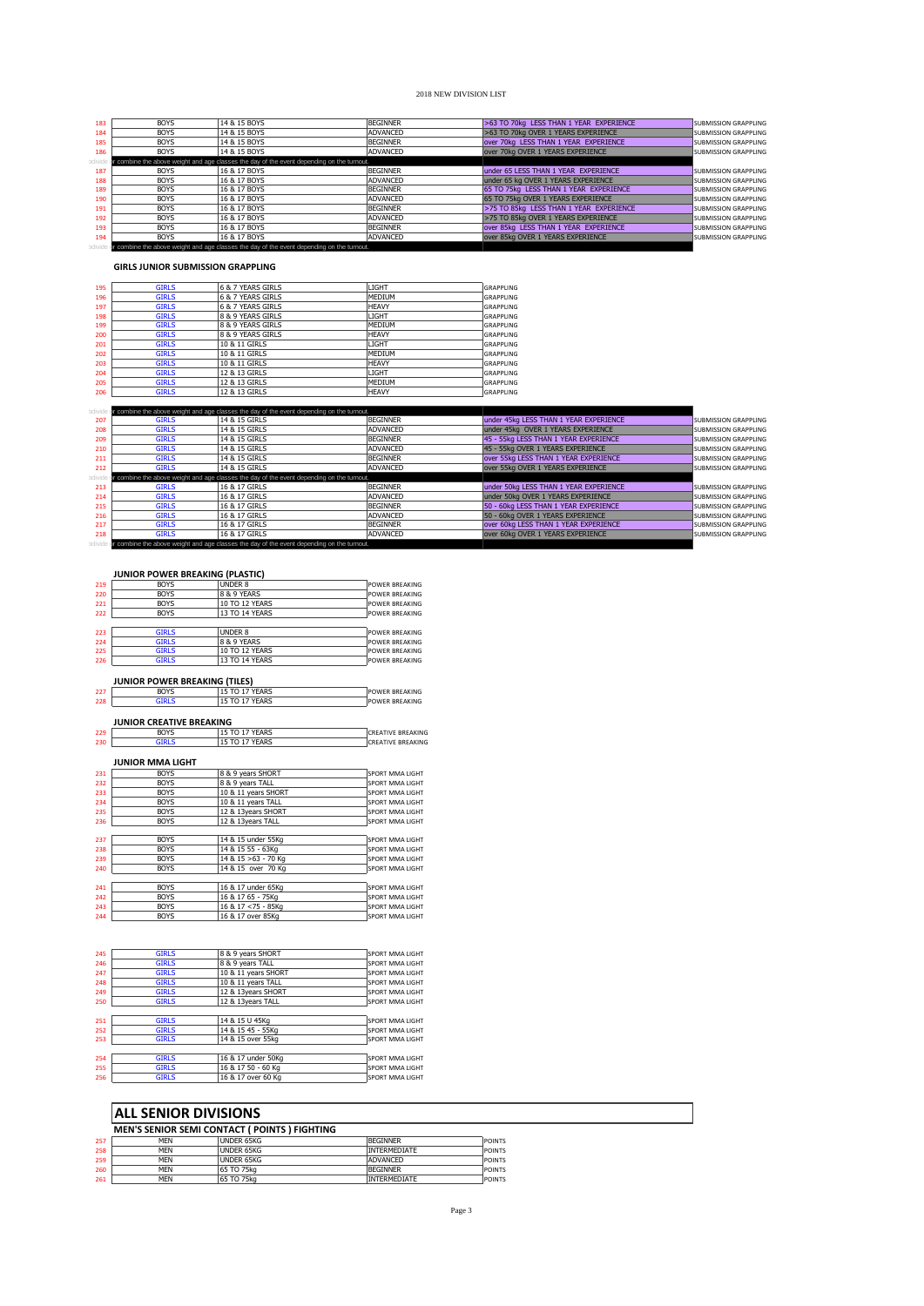| 183 | <b>BOYS</b> | 14 & 15 BOYS                                                                               | <b>BEGINNER</b> | >63 TO 70kg LESS THAN 1 YEAR EXPERIENCE | <b>SUBMISSION GRAPPLING</b> |
|-----|-------------|--------------------------------------------------------------------------------------------|-----------------|-----------------------------------------|-----------------------------|
| 184 | <b>BOYS</b> | 14 & 15 BOYS                                                                               | ADVANCED        | >63 TO 70kg OVER 1 YEARS EXPERIENCE     | <b>SUBMISSION GRAPPLING</b> |
| 185 | <b>BOYS</b> | 14 & 15 BOYS                                                                               | <b>BEGINNER</b> | over 70kg LESS THAN 1 YEAR EXPERIENCE   | <b>SUBMISSION GRAPPLING</b> |
| 186 | <b>BOYS</b> | 14 & 15 BOYS                                                                               | ADVANCED        | over 70kg OVER 1 YEARS EXPERIENCE       | <b>SUBMISSION GRAPPLING</b> |
|     |             | or combine the above weight and age classes the day of the event depending on the turnout. |                 |                                         |                             |
| 187 | BOYS        | 16 & 17 BOYS                                                                               | <b>BEGINNER</b> | under 65 LESS THAN 1 YEAR EXPERIENCE    | <b>SUBMISSION GRAPPLING</b> |
| 188 | <b>BOYS</b> | 16 & 17 BOYS                                                                               | <b>ADVANCED</b> | under 65 kg OVER 1 YEARS EXPERIENCE     | <b>SUBMISSION GRAPPLING</b> |
| 189 | <b>BOYS</b> | 16 & 17 BOYS                                                                               | <b>BEGINNER</b> | 65 TO 75kg LESS THAN 1 YEAR EXPERIENCE  | <b>SUBMISSION GRAPPLING</b> |
| 190 | <b>BOYS</b> | 16 & 17 BOYS                                                                               | ADVANCED        | 65 TO 75kg OVER 1 YEARS EXPERIENCE      | <b>SUBMISSION GRAPPLING</b> |
| 191 | <b>BOYS</b> | 16 & 17 BOYS                                                                               | <b>BEGINNER</b> | >75 TO 85kg LESS THAN 1 YEAR EXPERIENCE | <b>SUBMISSION GRAPPLING</b> |
| 192 | <b>BOYS</b> | 16 & 17 BOYS                                                                               | ADVANCED        | >75 TO 85kg OVER 1 YEARS EXPERIENCE     | <b>SUBMISSION GRAPPLING</b> |
| 193 | <b>BOYS</b> | 16 & 17 BOYS                                                                               | <b>BEGINNER</b> | over 85kg LESS THAN 1 YEAR EXPERIENCE   | <b>SUBMISSION GRAPPLING</b> |
| 194 | <b>BOYS</b> | 16 & 17 BOYS                                                                               | ADVANCED        | over 85kg OVER 1 YEARS EXPERIENCE       | <b>SUBMISSION GRAPPLING</b> |
|     |             | or combine the above weight and age classes the day of the event depending on the turnout. |                 |                                         |                             |

**GIRLS JUNIOR SUBMISSION GRAPPLING**

| 195 | <b>GIRLS</b> | 6 & 7 YEARS GIRLS | LIGHT         | <b>GRAPPLING</b> |
|-----|--------------|-------------------|---------------|------------------|
| 196 | <b>GIRLS</b> | 6 & 7 YEARS GIRLS | MEDIUM        | <b>GRAPPLING</b> |
| 197 | <b>GIRLS</b> | 6 & 7 YEARS GIRLS | <b>HEAVY</b>  | <b>GRAPPLING</b> |
| 198 | <b>GIRLS</b> | 8 & 9 YEARS GIRLS | LIGHT         | <b>GRAPPLING</b> |
| 199 | <b>GIRLS</b> | 8 & 9 YEARS GIRLS | MEDIUM        | <b>GRAPPLING</b> |
| 200 | <b>GIRLS</b> | 8 & 9 YEARS GIRLS | <b>HEAVY</b>  | <b>GRAPPLING</b> |
| 201 | <b>GIRLS</b> | 10 & 11 GIRLS     | LIGHT         | <b>GRAPPLING</b> |
| 202 | <b>GIRLS</b> | 10 & 11 GIRLS     | MEDIUM        | <b>GRAPPLING</b> |
| 203 | <b>GIRLS</b> | 10 & 11 GIRLS     | <b>HEAVY</b>  | <b>GRAPPLING</b> |
| 204 | <b>GIRLS</b> | 12 & 13 GIRLS     | LIGHT         | <b>GRAPPLING</b> |
| 205 | <b>GIRLS</b> | 12 & 13 GIRLS     | <b>MEDIUM</b> | <b>GRAPPLING</b> |
| 206 | <b>GIRLS</b> | 12 & 13 GIRLS     | <b>HEAVY</b>  | GRAPPLING        |

|     |              | or combine the above weight and age classes the day of the event depending on the turnout. |                 |                                        |                             |
|-----|--------------|--------------------------------------------------------------------------------------------|-----------------|----------------------------------------|-----------------------------|
| 207 | <b>GIRLS</b> | 14 & 15 GIRLS                                                                              | <b>BEGINNER</b> | under 45kg LESS THAN 1 YEAR EXPERIENCE | <b>SUBMISSION GRAPPLING</b> |
| 208 | <b>GIRLS</b> | 14 & 15 GIRLS                                                                              | <b>ADVANCED</b> | under 45kg OVER 1 YEARS EXPERIENCE     | <b>SUBMISSION GRAPPLING</b> |
| 209 | <b>GIRLS</b> | 14 & 15 GIRLS                                                                              | <b>BEGINNER</b> | 45 - 55kg LESS THAN 1 YEAR EXPERIENCE  | <b>SUBMISSION GRAPPLING</b> |
| 210 | <b>GIRLS</b> | 14 & 15 GIRLS                                                                              | <b>ADVANCED</b> | 45 - 55kg OVER 1 YEARS EXPERIENCE      | <b>SUBMISSION GRAPPLING</b> |
| 211 | <b>GIRLS</b> | 14 & 15 GIRLS                                                                              | <b>BEGINNER</b> | over 55kg LESS THAN 1 YEAR EXPERIENCE  | <b>SUBMISSION GRAPPLING</b> |
| 212 | <b>GIRLS</b> | 14 & 15 GIRLS                                                                              | ADVANCED        | over 55kg OVER 1 YEARS EXPERIENCE      | <b>SUBMISSION GRAPPLING</b> |
|     |              | or combine the above weight and age classes the day of the event depending on the turnout. |                 |                                        |                             |
| 213 | <b>GIRLS</b> | 16 & 17 GIRLS                                                                              | <b>BEGINNER</b> | under 50kg LESS THAN 1 YEAR EXPERIENCE | <b>SUBMISSION GRAPPLING</b> |
| 214 | <b>GIRLS</b> | 16 & 17 GIRLS                                                                              | ADVANCED        | under 50kg OVER 1 YEARS EXPERIENCE     | <b>SUBMISSION GRAPPLING</b> |
| 215 | <b>GIRLS</b> | 16 & 17 GIRLS                                                                              | <b>BEGINNER</b> | 50 - 60kg LESS THAN 1 YEAR EXPERIENCE  | <b>SUBMISSION GRAPPLING</b> |
| 216 | <b>GIRLS</b> | 16 & 17 GIRLS                                                                              | <b>ADVANCED</b> | 50 - 60kg OVER 1 YEARS EXPERIENCE      | <b>SUBMISSION GRAPPLING</b> |
| 217 | <b>GIRLS</b> | 16 & 17 GIRLS                                                                              | <b>BEGINNER</b> | over 60kg LESS THAN 1 YEAR EXPERIENCE  | <b>SUBMISSION GRAPPLING</b> |
| 218 | <b>GIRLS</b> | 16 & 17 GIRLS                                                                              | ADVANCED        | over 60kg OVER 1 YEARS EXPERIENCE      | <b>SUBMISSION GRAPPLING</b> |
|     |              | or combine the above weight and age classes the day of the event depending on the turnout. |                 |                                        |                             |

|     | <b>JUNIOR POWER BREAKING (PLASTIC)</b> |                       |                          |
|-----|----------------------------------------|-----------------------|--------------------------|
| 219 | <b>BOYS</b>                            | UNDER 8               | <b>POWER BREAKING</b>    |
| 220 | <b>BOYS</b>                            | 8 & 9 YEARS           | <b>POWER BREAKING</b>    |
| 221 | <b>BOYS</b>                            | 10 TO 12 YEARS        | <b>POWER BREAKING</b>    |
| 222 | <b>BOYS</b>                            | 13 TO 14 YEARS        | <b>POWER BREAKING</b>    |
| 223 | <b>GIRLS</b>                           | <b>UNDER 8</b>        | <b>POWER BREAKING</b>    |
| 224 | <b>GIRLS</b>                           | 8 & 9 YEARS           | <b>POWER BREAKING</b>    |
| 225 | <b>GIRLS</b>                           | 10 TO 12 YEARS        | <b>POWER BREAKING</b>    |
| 226 | <b>GIRLS</b>                           | 13 TO 14 YEARS        | <b>POWER BREAKING</b>    |
|     | <b>JUNIOR POWER BREAKING (TILES)</b>   |                       |                          |
| 227 | <b>BOYS</b>                            | <b>15 TO 17 YEARS</b> | <b>POWER BREAKING</b>    |
| 228 | <b>GIRLS</b>                           | 15 TO 17 YEARS        | <b>POWER BREAKING</b>    |
|     | <b>JUNIOR CREATIVE BREAKING</b>        |                       |                          |
| 229 | <b>BOYS</b>                            | 15 TO 17 YEARS        | <b>CREATIVE BREAKING</b> |
| 230 | <b>GIRLS</b>                           | 15 TO 17 YEARS        | <b>CREATIVE BREAKING</b> |
|     | <b>JUNIOR MMA LIGHT</b><br><b>BOYS</b> | 8 & 9 years SHORT     | SPORT MMA LIGHT          |
| 231 |                                        |                       |                          |
| 232 | <b>BOYS</b>                            | 8 & 9 vears TALL      | SPORT MMA LIGHT          |
| 233 | <b>BOYS</b>                            | 10 & 11 years SHORT   | SPORT MMA LIGHT          |
| 234 | <b>BOYS</b>                            | 10 & 11 years TALL    | SPORT MMA LIGHT          |
| 235 | <b>BOYS</b>                            | 12 & 13years SHORT    | SPORT MMA LIGHT          |
| 236 | <b>BOYS</b>                            | 12 & 13 vears TALL    | SPORT MMA LIGHT          |
| 237 | <b>BOYS</b>                            | 14 & 15 under 55Kg    | SPORT MMA LIGHT          |
| 238 | <b>BOYS</b>                            | 14 & 15 55 - 63Ka     | SPORT MMA LIGHT          |
| 239 | <b>BOYS</b>                            | 14 & 15 > 63 - 70 Kg  | SPORT MMA LIGHT          |
| 240 | <b>BOYS</b>                            | 14 & 15 over 70 Kg    | SPORT MMA LIGHT          |
| 241 | <b>BOYS</b>                            | 16 & 17 under 65Kg    | SPORT MMA LIGHT          |
| 242 | <b>BOYS</b>                            | 16 & 17 65 - 75Ka     | SPORT MMA LIGHT          |
| 243 | <b>BOYS</b>                            | 16 & 17 < 75 - 85Kg   | SPORT MMA LIGHT          |
| 244 | <b>BOYS</b>                            | 16 & 17 over 85Kg     | SPORT MMA LIGHT          |
|     |                                        |                       |                          |
| 245 | <b>GIRLS</b>                           | 8 & 9 years SHORT     | SPORT MMA LIGHT          |
| 246 | <b>GIRLS</b>                           | 8 & 9 vears TALL      | SPORT MMA LIGHT          |
| 247 | <b>GIRLS</b>                           | 10 & 11 years SHORT   | SPORT MMA LIGHT          |
| 248 | <b>GIRLS</b>                           | 10 & 11 years TALL    | SPORT MMA LIGHT          |
|     | <b>GIRLS</b>                           | 12 & 13 vears SHORT   |                          |

| 250 | <b>GIRLS</b> | 12 & 13 vears TALL | <b>SPORT MMA LIGHT</b> |
|-----|--------------|--------------------|------------------------|
|     |              |                    |                        |
| 251 | <b>GIRLS</b> | 14 & 15 U 45Kg     | <b>SPORT MMA LIGHT</b> |
| 252 | <b>GIRLS</b> | 14 & 15 45 - 55Kg  | <b>SPORT MMA LIGHT</b> |
| 253 | <b>GIRLS</b> | 14 & 15 over 55kg  | <b>SPORT MMA LIGHT</b> |
|     |              |                    |                        |
| 254 | <b>GIRLS</b> | 16 & 17 under 50Kg | <b>SPORT MMA LIGHT</b> |
| 255 | <b>GIRLS</b> | 16 & 17 50 - 60 Kg | <b>SPORT MMA LIGHT</b> |
| 256 | <b>GIRLS</b> | 16 & 17 over 60 Kg | <b>SPORT MMA LIGHT</b> |
|     |              |                    |                        |

# **ALL SENIOR DIVISIONS**

|     | <b>MEN'S SENIOR SEMI CONTACT (POINTS) FIGHTING</b> |            |                     |               |  |  |
|-----|----------------------------------------------------|------------|---------------------|---------------|--|--|
| 257 | <b>MFN</b>                                         | UNDER 65KG | <b>BEGINNER</b>     | <b>POINTS</b> |  |  |
| 258 | <b>MFN</b>                                         | UNDER 65KG | <b>INTERMEDIATE</b> | <b>POINTS</b> |  |  |
| 259 | <b>MFN</b>                                         | UNDER 65KG | ADVANCED            | <b>POINTS</b> |  |  |
| 260 | MFN                                                | 65 TO 75kg | <b>BEGINNER</b>     | <b>POINTS</b> |  |  |
| 261 | <b>MFN</b>                                         | 65 TO 75kg | <b>INTERMEDIATE</b> | <b>POINTS</b> |  |  |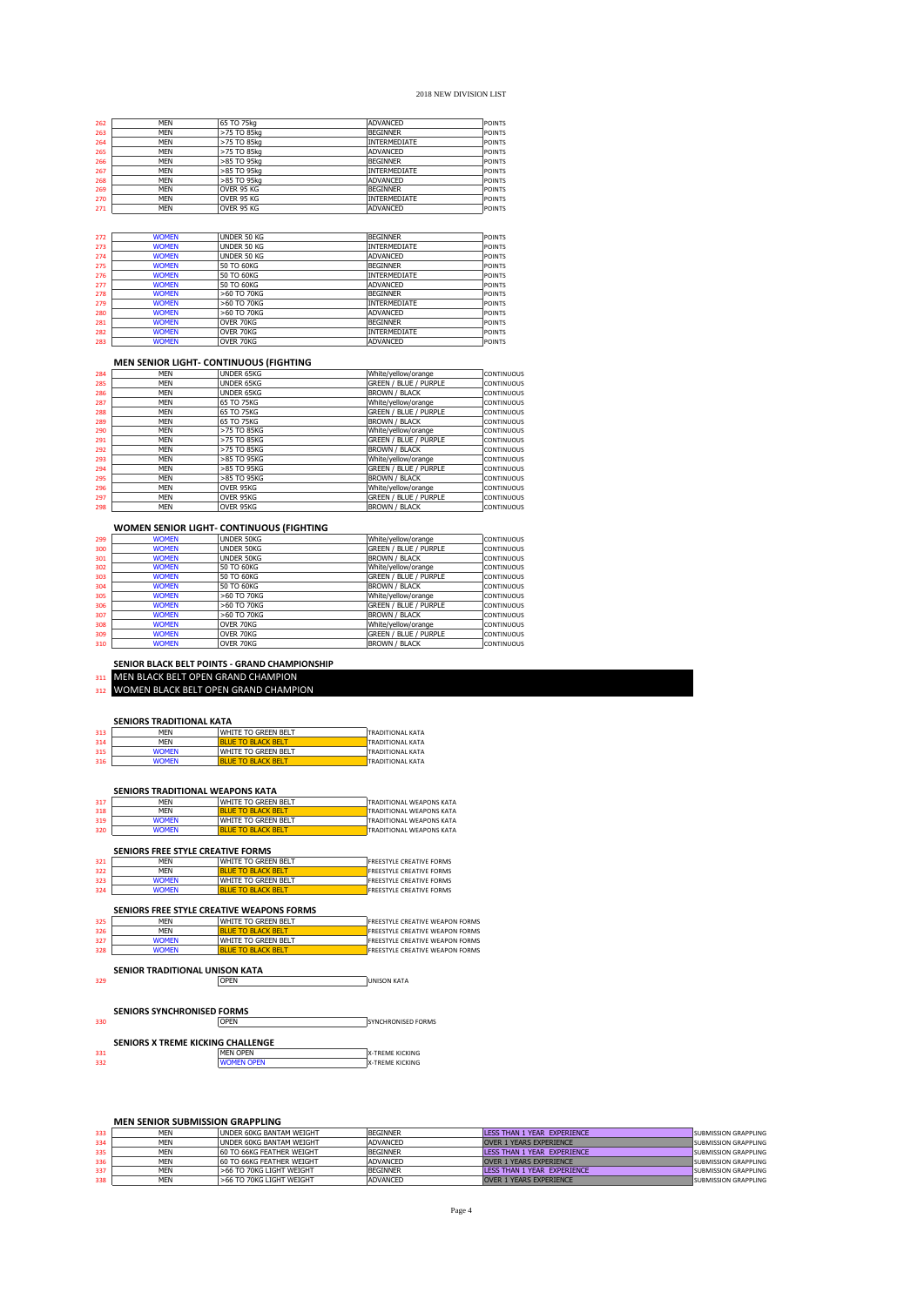| 262 | MEN        | 165 TO 75ka | IADVANCED           | <b>POINTS</b> |
|-----|------------|-------------|---------------------|---------------|
| 263 | MFN        | >75 TO 85kg | <b>BEGINNER</b>     | <b>POINTS</b> |
| 264 | <b>MEN</b> | >75 TO 85kg | <b>INTERMEDIATE</b> | <b>POINTS</b> |
| 265 | MEN        | >75 TO 85kg | <b>ADVANCED</b>     | <b>POINTS</b> |
| 266 | MFN        | >85 TO 95kg | <b>BEGINNER</b>     | <b>POINTS</b> |
| 267 | <b>MFN</b> | >85 TO 95kg | <b>INTERMEDIATE</b> | <b>POINTS</b> |
| 268 | MEN        | >85 TO 95kg | ADVANCED            | <b>POINTS</b> |
| 269 | <b>MFN</b> | OVER 95 KG  | <b>BEGINNER</b>     | <b>POINTS</b> |
| 270 | <b>MFN</b> | OVER 95 KG  | <b>INTERMEDIATE</b> | <b>POINTS</b> |
| 271 | MEN        | OVER 95 KG  | <b>ADVANCED</b>     | <b>POINTS</b> |
|     |            |             |                     |               |

| 272 | <b>WOMEN</b> | UNDER 50 KG   | <b>BEGINNER</b>     | <b>POINTS</b> |
|-----|--------------|---------------|---------------------|---------------|
| 273 | <b>WOMEN</b> | UNDER 50 KG   | <b>INTERMEDIATE</b> | <b>POINTS</b> |
| 274 | <b>WOMEN</b> | UNDER 50 KG   | <b>ADVANCED</b>     | <b>POINTS</b> |
| 275 | <b>WOMEN</b> | 50 TO 60KG    | <b>BEGINNER</b>     | <b>POINTS</b> |
| 276 | <b>WOMEN</b> | 50 TO 60KG    | <b>INTERMEDIATE</b> | <b>POINTS</b> |
| 277 | <b>WOMEN</b> | 50 TO 60KG    | <b>ADVANCED</b>     | <b>POINTS</b> |
| 278 | <b>WOMEN</b> | >60 TO 70KG   | <b>BEGINNER</b>     | <b>POINTS</b> |
| 279 | <b>WOMEN</b> | >60 TO 70KG   | <b>INTERMEDIATE</b> | <b>POINTS</b> |
| 280 | <b>WOMEN</b> | $>60$ TO 70KG | <b>ADVANCED</b>     | <b>POINTS</b> |
| 281 | <b>WOMEN</b> | OVER 70KG     | <b>BEGINNER</b>     | <b>POINTS</b> |
| 282 | <b>WOMEN</b> | OVER 70KG     | <b>INTERMEDIATE</b> | <b>POINTS</b> |
| 283 | <b>WOMEN</b> | OVER 70KG     | <b>ADVANCED</b>     | <b>POINTS</b> |

MEN UNDER 65KG White/yellow/orange CONTINUOUS 285 MEN UNDER 65KG GREEN / BLUE / PURPLE CONTINUOUS

28<br>
287 MEN UNDER 651075KG<br>
287 MEN 651075KG<br>
288 MEN 651075KG<br>
288 MEN 651075KG<br>
290 MEN 5751085KG<br>
291 MEN 7-751085KG<br>
291 MEN 7-751085KG<br>
292 MEN 7-751085KG<br>
292 MEN 7-751085KG<br>
292 MEN 7-751085KG<br>
292 MEN 7-751085KG<br>
2

 MEN >85 TO 95KG White/yellow/orange CONTINUOUS 294 MEN >85 TO 95KG GREEN / BLUE / PURPLE CONTINUOUS 295 MEN DINDER 65KG SEREN / BURENCONTINUOUS<br>286 MEN UNDER 65KG SEREN / BURENCONTINUOUS<br>287 MEN 55 TO 75KG White/yellow/orange continuous<br>289 MEN 55 TO 75KG White/yellow/orange continuous<br>289 MEN 55 TO 75KG SEREN / BURENCON

296 MEN OVER 95KG White/yellow/orange CONTINUOUS<br>297 MEN OVER 95KG GREEN GREEN / BLUE / PURPLE CONTINUOUS<br>298 MEN OVER 95KG - BROWN / BLACK CONTINUOUS

| '67 | MEN                    | 1>85 TO 95KG | INIERMEDIAIE         | I POINT.     |
|-----|------------------------|--------------|----------------------|--------------|
| 68  | <b>MFN</b>             | >85 TO 95kg  | <b>ADVANCED</b>      | <b>POINT</b> |
| 69  | <b>MFN</b>             | OVER 95 KG   | <b>BEGINNER</b>      | <b>POINT</b> |
| !70 | <b>MFN</b>             | OVER 95 KG   | <b>INTERMEDIATE</b>  | <b>POINT</b> |
| !71 | <b>MEN</b>             | OVER 95 KG   | <b>ADVANCED</b>      | POINT        |
|     | <b>WOMEN</b>           | UNDER 50 KG  | <b>BEGINNER</b>      | <b>POINT</b> |
| !72 |                        |              |                      |              |
| !73 | <b>WOMEN</b>           | UNDER 50 KG  | <b>INTERMEDIATE</b>  | <b>POINT</b> |
| 74  | <b>WOMEN</b>           | UNDER 50 KG  | <b>ADVANCED</b>      | <b>POINT</b> |
| !75 | <b>WOMEN</b>           | 50 TO 60KG   | <b>BEGINNER</b>      | <b>POINT</b> |
| --- | <b><i>ARRAIGHT</i></b> | FO TO COUR   | <b>TAPPDAIRSTATE</b> | -----        |

| <b>MEN</b>               | <b>&gt;85 IO 95KG</b> | <b>I BEGINNER</b>   | I POIN I     |
|--------------------------|-----------------------|---------------------|--------------|
| <b>MFN</b>               | >85 TO 95kg           | <b>INTERMEDIATE</b> | POINT        |
| <b>MFN</b>               | >85 TO 95kg           | ADVANCED            | POINT        |
| <b>MFN</b>               | OVER 95 KG            | <b>BEGINNER</b>     | POINT        |
| <b>MFN</b>               | OVER 95 KG            | <b>INTERMEDIATE</b> | POINT        |
| <b>MFN</b>               | OVER 95 KG            | <b>ADVANCED</b>     | <b>POINT</b> |
|                          |                       |                     |              |
|                          |                       |                     |              |
| <b><i>ARABASARES</i></b> | 111777777177          | <b>DECTIVIED</b>    | -----        |

| <b>BROWN / BLACK</b>         | <b>CONTINUOUS</b> |
|------------------------------|-------------------|
| White/vellow/orange          | <b>CONTINUOUS</b> |
| <b>GREEN / BLUE / PURPLE</b> | <b>CONTINUOUS</b> |
| <b>BROWN / BLACK</b>         | <b>CONTINUOUS</b> |
|                              |                   |

TRADITIONAL KATA<br>TRADITIONAL KATA

| 299 | <b>WOMEN</b> | UNDER 50KG        | White/yellow/orange          | <b>CONTINUOUS</b> |
|-----|--------------|-------------------|------------------------------|-------------------|
| 300 | <b>WOMEN</b> | <b>UNDER 50KG</b> | <b>GREEN / BLUE / PURPLE</b> | <b>CONTINUOUS</b> |
| 301 | <b>WOMEN</b> | <b>UNDER 50KG</b> | <b>BROWN / BLACK</b>         | <b>CONTINUOUS</b> |
| 302 | <b>WOMEN</b> | 50 TO 60KG        | White/yellow/orange          | <b>CONTINUOUS</b> |
| 303 | <b>WOMEN</b> | 50 TO 60KG        | <b>GREEN / BLUE / PURPLE</b> | <b>CONTINUOUS</b> |
| 304 | <b>WOMEN</b> | 50 TO 60KG        | <b>BROWN / BLACK</b>         | <b>CONTINUOUS</b> |
| 305 | <b>WOMEN</b> | >60 TO 70KG       | White/yellow/orange          | <b>CONTINUOUS</b> |
| 306 | <b>WOMEN</b> | >60 TO 70KG       | <b>GREEN / BLUE / PURPLE</b> | <b>CONTINUOUS</b> |
| 307 | <b>WOMEN</b> | >60 TO 70KG       | <b>BROWN / BLACK</b>         | <b>CONTINUOUS</b> |
| 308 | <b>WOMEN</b> | OVER 70KG         | White/yellow/orange          | <b>CONTINUOUS</b> |
| 309 | <b>WOMEN</b> | OVER 70KG         | <b>GREEN / BLUE / PURPLE</b> | <b>CONTINUOUS</b> |
| 310 | <b>WOMEN</b> | OVER 70KG         | <b>BROWN / BLACK</b>         | <b>CONTINUOUS</b> |
|     |              |                   |                              |                   |

### **WOMEN SENIOR LIGHT- CONTINUOUS (FIGHTING**

**SENIOR BLACK BELT POINTS - GRAND CHAMPIONSHIP**  MEN BLACK BELT OPEN GRAND CHAMPION 312 WOMEN BLACK BELT OPEN GRAND CHAMPION

**SENIORS TRADITIONAL WEAPONS KATA**<br>
MEN WHITE TO GREEN BELT<br>
MEN BLUE TO BLACK BELT

**SENIORS TRADITIONAL KATA**<br>313 MEN WHITE TO GREEN BELT TRADITIONAL KATA 313 MEN WHITE TO GREEN BELT TRADITIONAL KATA<br>314 MEN BLUE TO GREEN BELT TRADITIONAL KATA<br>315 WOMEN BLUE TO GREEN BELT TRADITIONAL KATA<br>316 WOMEN BLUE TO BLACK BELT TRADITIONAL KATA WHITE TO GREEN BELT

127 **JULIE TO GREEN BELT** TRADITIONAL WEAPONS KATA<br>218 **JULIE TO GREEN BELT TRADITIONAL WEAPONS KATA<br>219 WOMEN WILLTE TO GREEN TRADITIONAL WEAPONS KATA<br>220 WOMEN BLUE TO BLACK BELT TRADITIONAL WEAPONS KATA** 318 MEN <mark>BLUE TO BLACK BELT STAT STADITIONAL WEAPONS KATA (1999)</mark><br>319 WOMEN WHITE TO GREEN BELT TRADITIONAL WEAPONS KATA<br>320 WOMEN BLUE TO BLACK BELT TRADITIONAL WEAPONS KATA

**MEN SENIOR LIGHT- CONTINUOUS (FIGHTING**

| <b>MFN</b>                        | WHITE TO GREEN BELT                       | <b>FREESTYLE CREATIVE FORMS</b>                              |
|-----------------------------------|-------------------------------------------|--------------------------------------------------------------|
| <b>MFN</b>                        | <b>BLUE TO BLACK BELT</b>                 | <b>FREESTYLE CREATIVE FORMS</b>                              |
| <b>WOMEN</b>                      | WHITE TO GREEN BELT                       | <b>FREESTYLE CREATIVE FORMS</b>                              |
| <b>WOMEN</b>                      | <b>BLUE TO BLACK BELT</b>                 | <b>FREESTYLE CREATIVE FORMS</b>                              |
|                                   | SENIORS FREE STYLE CREATIVE WEAPONS FORMS |                                                              |
| <b>MFN</b>                        | WHITE TO GREEN BELT                       | <b>FREESTYLE CREATIVE WEAPON FORMS</b>                       |
| <b>MFN</b>                        | <b>BLUE TO BLACK BELT</b>                 | <b>FREESTYLE CREATIVE WEAPON FORMS</b>                       |
| <b>WOMEN</b>                      | WHITE TO GREEN BELT                       | <b>FREESTYLE CREATIVE WEAPON FORMS</b>                       |
|                                   |                                           |                                                              |
| <b>WOMEN</b>                      | <b>BLUE TO BLACK BELT</b>                 |                                                              |
|                                   | SENIOR TRADITIONAL UNISON KATA<br>OPEN    | <b>FREESTYLE CREATIVE WEAPON FORMS</b><br><b>UNISON KATA</b> |
| <b>SENIORS SYNCHRONISED FORMS</b> |                                           |                                                              |
|                                   | <b>OPEN</b>                               | SYNCHRONISED FORMS                                           |
|                                   |                                           |                                                              |
|                                   | SENIORS X TREME KICKING CHALLENGE         |                                                              |
|                                   | <b>MFN OPFN</b>                           | <b>X-TREME KICKING</b>                                       |

## **MEN SENIOR SUBMISSION GRAPPLING**

|      | IVIEN SENIUR SUBIVIISSIUN GRAPPLING |                                  |                 |                                |                             |  |  |
|------|-------------------------------------|----------------------------------|-----------------|--------------------------------|-----------------------------|--|--|
| 333  | <b>MFN</b>                          | LUNDER 60KG BANTAM WEIGHT        | <b>BEGINNER</b> | LESS THAN 1 YEAR EXPERIENCE    | <b>SUBMISSION GRAPPLING</b> |  |  |
| 334  | <b>MFN</b>                          | LUNDER 60KG BANTAM WEIGHT        | <b>ADVANCED</b> | <b>OVER 1 YEARS EXPERIENCE</b> | <b>SUBMISSION GRAPPLING</b> |  |  |
| 335  | <b>MFN</b>                          | 60 TO 66KG FFATHER WEIGHT        | <b>BEGINNER</b> | LESS THAN 1 YEAR EXPERIENCE    | <b>SUBMISSION GRAPPLING</b> |  |  |
| 336. | <b>MFN</b>                          | <b>60 TO 66KG FFATHER WEIGHT</b> | ADVANCED        | <b>OVER 1 YEARS EXPERIENCE</b> | <b>SUBMISSION GRAPPLING</b> |  |  |
| 337  | <b>MFN</b>                          | >66 TO 70KG LIGHT WEIGHT         | <b>BEGINNER</b> | LESS THAN 1 YEAR EXPERIENCE    | <b>SUBMISSION GRAPPLING</b> |  |  |
| 338  | <b>MFN</b>                          | >66 TO 70KG LIGHT WEIGHT         | <b>ADVANCED</b> | <b>OVER 1 YEARS EXPERIENCE</b> | SUBMISSION GRAPPLING        |  |  |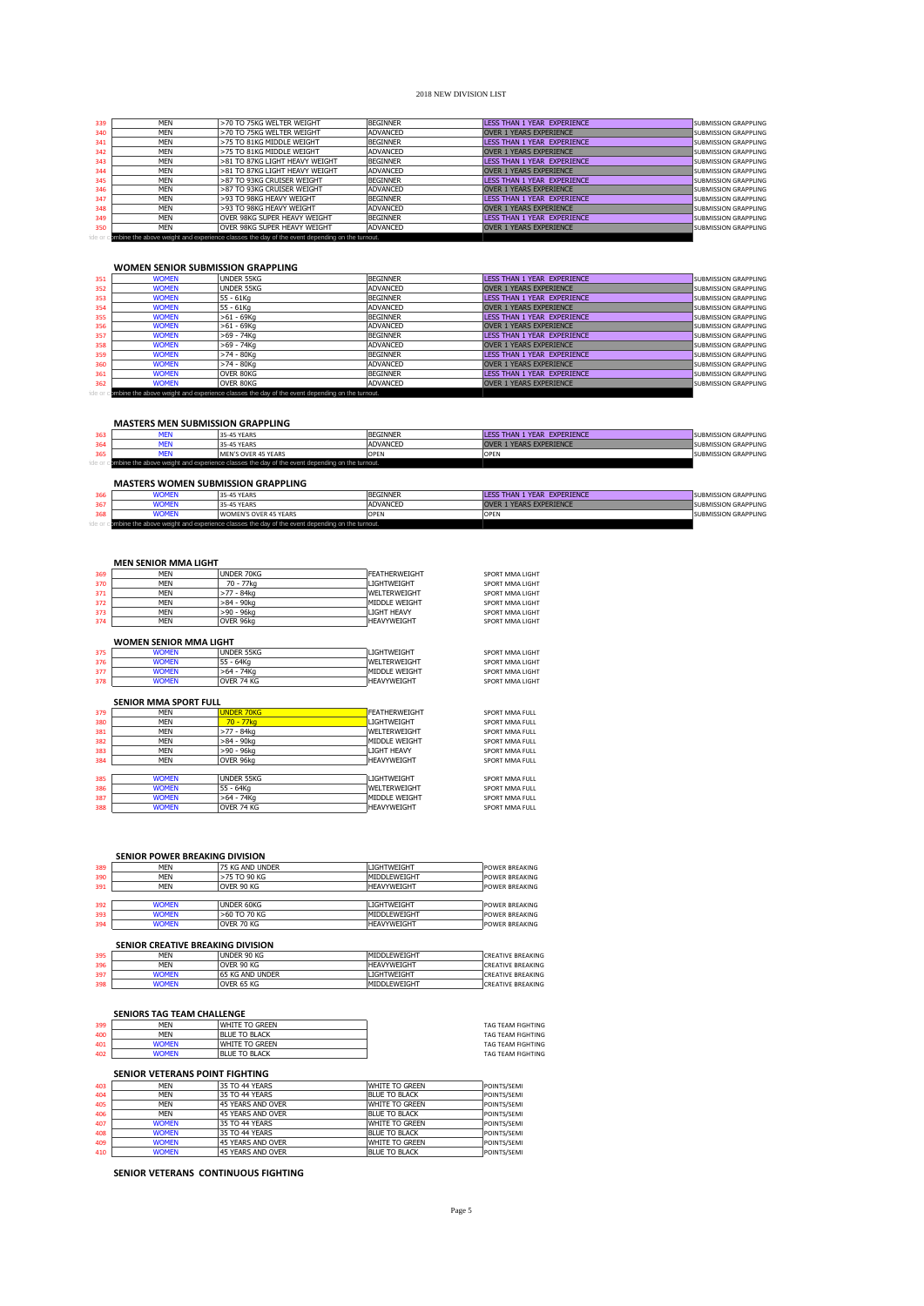| 339 | MFN        | >70 TO 75KG WELTER WEIGHT                                                                     | <b>BEGINNER</b> | LESS THAN 1 YEAR EXPERIENCE    | <b>SUBMISSION GRAPPLING</b> |
|-----|------------|-----------------------------------------------------------------------------------------------|-----------------|--------------------------------|-----------------------------|
| 340 | MFN        | >70 TO 75KG WFLTER WEIGHT                                                                     | <b>ADVANCED</b> | <b>OVER 1 YEARS EXPERIENCE</b> | <b>SUBMISSION GRAPPLING</b> |
| 341 | <b>MFN</b> | >75 TO 81KG MIDDLE WEIGHT                                                                     | <b>BEGINNER</b> | LESS THAN 1 YEAR EXPERIENCE    | <b>SUBMISSION GRAPPLING</b> |
| 342 | MEN        | >75 TO 81KG MIDDLE WEIGHT                                                                     | ADVANCED        | <b>OVER 1 YEARS EXPERIENCE</b> | <b>SUBMISSION GRAPPLING</b> |
| 343 | MFN        | >81 TO 87KG LIGHT HEAVY WEIGHT                                                                | <b>BEGINNER</b> | LESS THAN 1 YEAR EXPERIENCE    | <b>SUBMISSION GRAPPLING</b> |
| 344 | MFN        | >81 TO 87KG LIGHT HEAVY WEIGHT                                                                | <b>ADVANCED</b> | <b>OVER 1 YEARS EXPERIENCE</b> | <b>SUBMISSION GRAPPLING</b> |
| 345 | MFN        | >87 TO 93KG CRUISER WEIGHT                                                                    | <b>BEGINNER</b> | LESS THAN 1 YEAR EXPERIENCE    | <b>SUBMISSION GRAPPLING</b> |
| 346 | MFN        | >87 TO 93KG CRUISER WEIGHT                                                                    | <b>ADVANCED</b> | <b>OVER 1 YEARS EXPERIENCE</b> | <b>SUBMISSION GRAPPLING</b> |
| 347 | MFN        | >93 TO 98KG HEAVY WEIGHT                                                                      | <b>BEGINNER</b> | LESS THAN 1 YEAR EXPERIENCE    | <b>SUBMISSION GRAPPLING</b> |
| 348 | MEN        | >93 TO 98KG HEAVY WEIGHT                                                                      | <b>ADVANCED</b> | <b>OVER 1 YEARS EXPERIENCE</b> | <b>SUBMISSION GRAPPLING</b> |
| 349 | MFN        | OVER 98KG SUPER HEAVY WEIGHT                                                                  | <b>BEGINNER</b> | LESS THAN 1 YEAR EXPERIENCE    | <b>SUBMISSION GRAPPLING</b> |
| 350 | MFN        | OVER 98KG SUPER HEAVY WEIGHT                                                                  | ADVANCED        | <b>OVER 1 YEARS EXPERIENCE</b> | <b>SUBMISSION GRAPPLING</b> |
|     |            | ombine the above weight and experience classes the day of the event depending on the turnout. |                 |                                |                             |

## **WOMEN SENIOR SUBMISSION GRAPPLING**

| 351 | <b>WOMEN</b> | UNDER 55KG                                                                                     | <b>BEGINNER</b> | LESS THAN 1 YEAR EXPERIENCE    | <b>SUBMISSION GRAPPLING</b> |
|-----|--------------|------------------------------------------------------------------------------------------------|-----------------|--------------------------------|-----------------------------|
| 352 | <b>WOMEN</b> | UNDER 55KG                                                                                     | ADVANCED        | <b>OVER 1 YEARS EXPERIENCE</b> | <b>SUBMISSION GRAPPLING</b> |
| 353 | <b>WOMEN</b> | 55 - 61Ka                                                                                      | <b>BEGINNER</b> | LESS THAN 1 YEAR EXPERIENCE    | <b>SUBMISSION GRAPPLING</b> |
| 354 | <b>WOMEN</b> | 55 - 61Kg                                                                                      | ADVANCED        | <b>OVER 1 YEARS EXPERIENCE</b> | <b>SUBMISSION GRAPPLING</b> |
| 355 | <b>WOMEN</b> | $>61 - 69$ Ka                                                                                  | <b>BEGINNER</b> | LESS THAN 1 YEAR EXPERIENCE    | <b>SUBMISSION GRAPPLING</b> |
| 356 | <b>WOMEN</b> | $>61 - 69$ Kg                                                                                  | ADVANCED        | <b>OVER 1 YEARS EXPERIENCE</b> | <b>SUBMISSION GRAPPLING</b> |
| 357 | <b>WOMEN</b> | >69 - 74Ka                                                                                     | <b>BEGINNER</b> | LESS THAN 1 YEAR EXPERIENCE    | <b>SUBMISSION GRAPPLING</b> |
| 358 | <b>WOMEN</b> | >69 - 74Ka                                                                                     | ADVANCED        | <b>OVER 1 YEARS EXPERIENCE</b> | <b>SUBMISSION GRAPPLING</b> |
| 359 | <b>WOMEN</b> | $>74 - 80$ Ka                                                                                  | <b>BEGINNER</b> | LESS THAN 1 YEAR EXPERIENCE    | <b>SUBMISSION GRAPPLING</b> |
| 360 | <b>WOMEN</b> | $>74 - 80$ Ka                                                                                  | ADVANCED        | <b>OVER 1 YEARS EXPERIENCE</b> | <b>SUBMISSION GRAPPLING</b> |
| 361 | <b>WOMEN</b> | OVER 80KG                                                                                      | <b>BEGINNER</b> | LESS THAN 1 YEAR EXPERIENCE    | <b>SUBMISSION GRAPPLING</b> |
| 362 | <b>WOMEN</b> | OVER 80KG                                                                                      | ADVANCED        | <b>OVER 1 YEARS EXPERIENCE</b> | <b>SUBMISSION GRAPPLING</b> |
|     |              | combine the above weight and experience classes the day of the event depending on the turnout. |                 |                                |                             |

## **MASTERS MEN SUBMISSION GRAPPLING**

| 363 |                                           | 35-45 YEARS                                                                                    | <b>BEGINNER</b> | LESS THAN 1 YEAR EXPERIENCE | <b>SUBMISSION GRAPPLING</b> |  |
|-----|-------------------------------------------|------------------------------------------------------------------------------------------------|-----------------|-----------------------------|-----------------------------|--|
|     |                                           | 35-45 YEARS                                                                                    | ADVANCED        | OVER 1 YEARS EXPERIENCE     | <b>SUBMISSION GRAPPLING</b> |  |
| 365 |                                           | MEN'S OVER 45 YEARS                                                                            | OPEN            | OPEN                        | <b>SUBMISSION GRAPPLING</b> |  |
|     |                                           | combine the above weight and experience classes the day of the event depending on the turnout. |                 |                             |                             |  |
|     | <b>MASTERS WOMEN SUBMISSION GRAPPLING</b> |                                                                                                |                 |                             |                             |  |

| <b>VOMEN</b> | 35-45 YEARS                                                                                    | <b>BEGINNER</b> | LESS THAN 1 YEAR EXPERIENCE    | <b>SUBMISSION GRAPPLING</b> |
|--------------|------------------------------------------------------------------------------------------------|-----------------|--------------------------------|-----------------------------|
| <b>VOMEN</b> | 35-45 YEARS                                                                                    | ADVANCED        | <b>OVER 1 YEARS EXPERIENCE</b> | <b>SUBMISSION GRAPPLING</b> |
| <b>VOMEN</b> | WOMEN'S OVER 45 YEARS                                                                          | OPEN            |                                | <b>SUBMISSION GRAPPLING</b> |
|              | combine the above weight and experience classes the day of the event depending on the turnout. |                 |                                |                             |

# **MEN SENIOR MMA LIGHT**

| 369 | MFN                           | UNDER 70KG        | FEATHERWEIGHT        | SPORT MMA LIGHT |
|-----|-------------------------------|-------------------|----------------------|-----------------|
| 370 | <b>MFN</b>                    | 70 - 77kg         | <b>LIGHTWFIGHT</b>   | SPORT MMA LIGHT |
| 371 | <b>MFN</b>                    | $>77 - 84k$ a     | WELTERWEIGHT         | SPORT MMA LIGHT |
| 372 | <b>MFN</b>                    | $>84 - 90$ kg     | MIDDLE WEIGHT        | SPORT MMA LIGHT |
| 373 | <b>MFN</b>                    | >90 - 96ka        | LIGHT HEAVY          | SPORT MMA LIGHT |
| 374 | <b>MFN</b>                    | OVER 96kg         | <b>HEAVYWEIGHT</b>   | SPORT MMA LIGHT |
|     | <b>WOMEN SENIOR MMA LIGHT</b> |                   |                      |                 |
| 375 | <b>WOMEN</b>                  | <b>UNDER 55KG</b> | <b>LIGHTWFIGHT</b>   | SPORT MMA LIGHT |
| 376 | <b>WOMEN</b>                  | 55 - 64Kg         | <b>WFI TERWEIGHT</b> | SPORT MMA LIGHT |
| 377 | <b>WOMEN</b>                  | $>64 - 74$ Kg     | MIDDLE WEIGHT        | SPORT MMA LIGHT |
|     |                               |                   |                      |                 |
| 378 | <b>WOMEN</b>                  | OVER 74 KG        | <b>HEAVYWEIGHT</b>   | SPORT MMA LIGHT |
|     | <b>SENIOR MMA SPORT FULL</b>  |                   |                      |                 |
| 379 | <b>MFN</b>                    | <b>UNDER 70KG</b> | <b>FEATHERWEIGHT</b> | SPORT MMA FULL  |
| 380 | <b>MFN</b>                    | $70 - 77$ ka      | <b>LIGHTWFIGHT</b>   | SPORT MMA FULL  |
| 381 | <b>MFN</b>                    | >77 - 84kg        | WELTERWEIGHT         | SPORT MMA FULL  |
| 382 | <b>MFN</b>                    | $>84 - 90$ ka     | MIDDLE WEIGHT        | SPORT MMA FULL  |
| 383 | <b>MFN</b>                    | $>90 - 96$ kg     | <b>LIGHT HEAVY</b>   | SPORT MMA FULL  |
| 384 | <b>MFN</b>                    | OVER 96kg         | <b>HEAVYWEIGHT</b>   | SPORT MMA FULL  |
|     |                               |                   |                      |                 |
| 385 | <b>WOMEN</b>                  | <b>UNDER 55KG</b> | <b>LIGHTWEIGHT</b>   | SPORT MMA FULL  |
| 386 | <b>WOMEN</b>                  | 55 - 64Kg         | WELTERWEIGHT         | SPORT MMA FULL  |
| 387 | <b>WOMEN</b>                  | $>64 - 74$ Kg     | MIDDLE WEIGHT        | SPORT MMA FULL  |

|     | <b>SENIOR POWER BREAKING DIVISION</b> |                   |                      |                       |
|-----|---------------------------------------|-------------------|----------------------|-----------------------|
| 389 | <b>MFN</b>                            | 75 KG AND UNDER   | I IGHTWFIGHT         | <b>POWER BREAKING</b> |
| 390 | <b>MFN</b>                            | >75 TO 90 KG      | <b>MIDDI EWFIGHT</b> | <b>POWER BREAKING</b> |
| 391 | <b>MFN</b>                            | OVER 90 KG        | <b>HEAVYWEIGHT</b>   | <b>POWER BREAKING</b> |
| 392 | <b>WOMEN</b>                          | <b>UNDER 60KG</b> | <b>LIGHTWFIGHT</b>   | <b>POWER BREAKING</b> |
| 393 | <b>WOMEN</b>                          | $>60$ TO 70 KG    | <b>MIDDLEWEIGHT</b>  | <b>POWER BREAKING</b> |
| 394 | <b>WOMEN</b>                          | OVER 70 KG        | <b>HEAVYWEIGHT</b>   | <b>POWER BREAKING</b> |

|     | SENIOR CREATIVE BREAKING DIVISION |                  |                       |                          |  |  |
|-----|-----------------------------------|------------------|-----------------------|--------------------------|--|--|
| 395 | <b>MFN</b>                        | lunder 90 kg     | <b>IMIDDI EWEIGHT</b> | <b>CREATIVE BREAKING</b> |  |  |
| 396 | <b>MFN</b>                        | OVER 90 KG       | <b>HEAVYWEIGHT</b>    | <b>CREATIVE BREAKING</b> |  |  |
| 397 | <b>WOMEN</b>                      | 165 KG AND UNDER | <b>LIGHTWEIGHT</b>    | <b>CREATIVE BREAKING</b> |  |  |
| 398 | <b>WOMEN</b>                      | OVER 65 KG       | <b>MIDDLEWEIGHT</b>   | <b>CREATIVE BREAKING</b> |  |  |

## **SENIORS TAG TEAM CHALLENGE**

| 399 | MFN          | <b>WHITE TO GREEN</b> | <b>TAG TEAM FIGHTING</b> |
|-----|--------------|-----------------------|--------------------------|
| 400 | MFN          | <b>BLUE TO BLACK</b>  | <b>TAG TEAM FIGHTING</b> |
| 401 | WOMEN        | <b>WHITE TO GREEN</b> | <b>TAG TEAM FIGHTING</b> |
| 402 | <b>NOMEN</b> | <b>BLUE TO BLACK</b>  | <b>TAG TEAM FIGHTING</b> |
|     |              |                       |                          |

## **SENIOR VETERANS POINT FIGHTING**

| 403 | <b>MFN</b>   | 35 TO 44 YEARS    | <b>WHITE TO GREEN</b> | POINTS/SEMI |
|-----|--------------|-------------------|-----------------------|-------------|
| 404 | <b>MFN</b>   | 35 TO 44 YEARS    | BLUE TO BLACK         | POINTS/SEMI |
| 405 | MFN          | 45 YEARS AND OVER | <b>WHITE TO GREEN</b> | POINTS/SEMI |
| 406 | <b>MFN</b>   | 45 YEARS AND OVER | BLUE TO BLACK         | POINTS/SEMI |
| 407 | <b>WOMEN</b> | 35 TO 44 YEARS    | WHITE TO GREEN        | POINTS/SEMI |
| 408 | <b>WOMEN</b> | 35 TO 44 YEARS    | <b>BLUE TO BLACK</b>  | POINTS/SEMI |
| 409 | <b>WOMEN</b> | 45 YEARS AND OVER | <b>WHITE TO GREEN</b> | POINTS/SEMI |
| 410 | <b>WOMEN</b> | 45 YEARS AND OVER | <b>BLUE TO BLACK</b>  | POINTS/SEMI |

**SENIOR VETERANS CONTINUOUS FIGHTING**